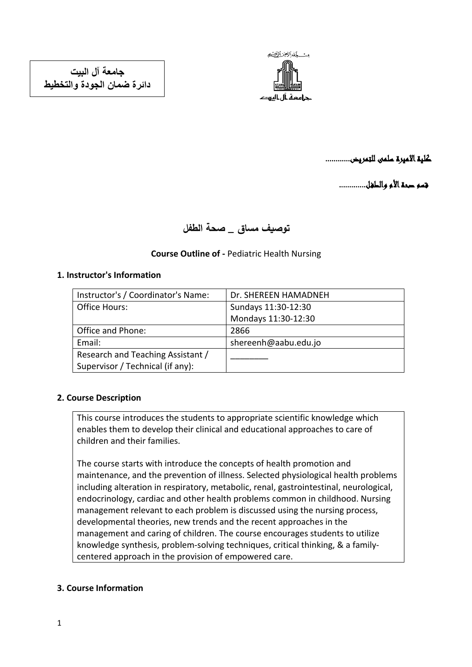

كلية االميرة سلمى للتمريض............

قسم صحة الأم والطغل..............

# **توصيف مساق \_ صحة الطفل**

# **Course Outline of -** Pediatric Health Nursing

## **1. Instructor's Information**

| Instructor's / Coordinator's Name: | Dr. SHEREEN HAMADNEH |
|------------------------------------|----------------------|
| Office Hours:                      | Sundays 11:30-12:30  |
|                                    | Mondays 11:30-12:30  |
| Office and Phone:                  | 2866                 |
| Email:                             | shereenh@aabu.edu.jo |
| Research and Teaching Assistant /  |                      |
| Supervisor / Technical (if any):   |                      |

#### **2. Course Description**

This course introduces the students to appropriate scientific knowledge which enables them to develop their clinical and educational approaches to care of children and their families.

The course starts with introduce the concepts of health promotion and maintenance, and the prevention of illness. Selected physiological health problems including alteration in respiratory, metabolic, renal, gastrointestinal, neurological, endocrinology, cardiac and other health problems common in childhood. Nursing management relevant to each problem is discussed using the nursing process, developmental theories, new trends and the recent approaches in the management and caring of children. The course encourages students to utilize knowledge synthesis, problem-solving techniques, critical thinking, & a familycentered approach in the provision of empowered care.

#### **3. Course Information**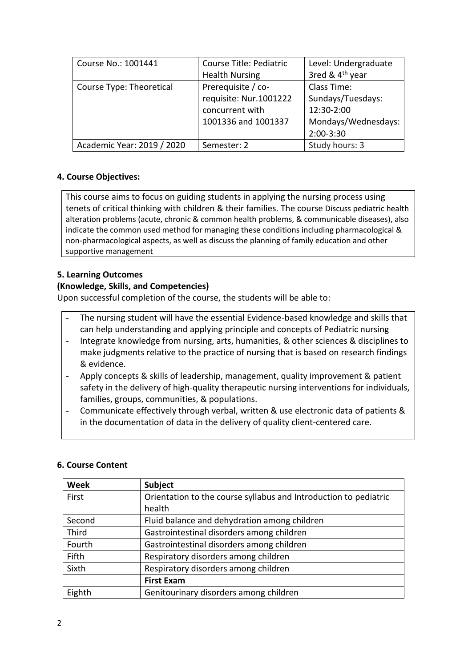| Course No.: 1001441        | Course Title: Pediatric<br><b>Health Nursing</b>                                       | Level: Undergraduate<br>3red & 4 <sup>th</sup> year                                  |
|----------------------------|----------------------------------------------------------------------------------------|--------------------------------------------------------------------------------------|
| Course Type: Theoretical   | Prerequisite / co-<br>requisite: Nur.1001222<br>concurrent with<br>1001336 and 1001337 | Class Time:<br>Sundays/Tuesdays:<br>12:30-2:00<br>Mondays/Wednesdays:<br>$2:00-3:30$ |
| Academic Year: 2019 / 2020 | Semester: 2                                                                            | Study hours: 3                                                                       |

# **4. Course Objectives:**

This course aims to focus on guiding students in applying the nursing process using tenets of critical thinking with children & their families. The course Discuss pediatric health alteration problems (acute, chronic & common health problems, & communicable diseases), also indicate the common used method for managing these conditions including pharmacological & non-pharmacological aspects, as well as discuss the planning of family education and other supportive management

# **5. Learning Outcomes**

# **(Knowledge, Skills, and Competencies)**

Upon successful completion of the course, the students will be able to:

- The nursing student will have the essential Evidence-based knowledge and skills that can help understanding and applying principle and concepts of Pediatric nursing
- Integrate knowledge from nursing, arts, humanities, & other sciences & disciplines to make judgments relative to the practice of nursing that is based on research findings & evidence.
- Apply concepts & skills of leadership, management, quality improvement & patient safety in the delivery of high-quality therapeutic nursing interventions for individuals, families, groups, communities, & populations.
- Communicate effectively through verbal, written & use electronic data of patients & in the documentation of data in the delivery of quality client-centered care.

# **6. Course Content**

| <b>Week</b> | Subject                                                          |
|-------------|------------------------------------------------------------------|
| First       | Orientation to the course syllabus and Introduction to pediatric |
|             | health                                                           |
| Second      | Fluid balance and dehydration among children                     |
| Third       | Gastrointestinal disorders among children                        |
| Fourth      | Gastrointestinal disorders among children                        |
| Fifth       | Respiratory disorders among children                             |
| Sixth       | Respiratory disorders among children                             |
|             | <b>First Exam</b>                                                |
| Eighth      | Genitourinary disorders among children                           |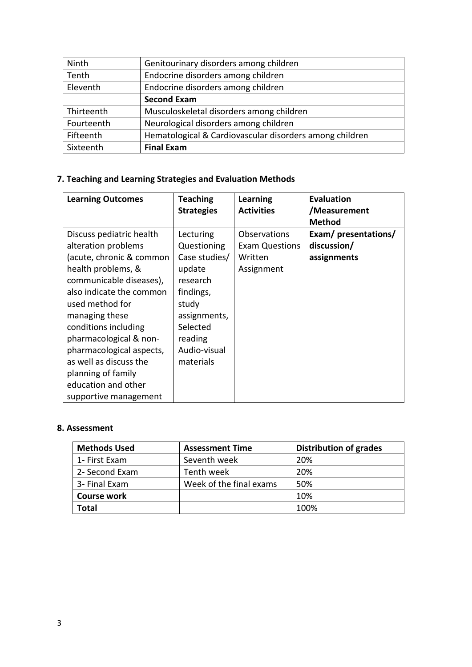| Ninth      | Genitourinary disorders among children                  |
|------------|---------------------------------------------------------|
| Tenth      | Endocrine disorders among children                      |
| Eleventh   | Endocrine disorders among children                      |
|            | <b>Second Exam</b>                                      |
| Thirteenth | Musculoskeletal disorders among children                |
| Fourteenth | Neurological disorders among children                   |
| Fifteenth  | Hematological & Cardiovascular disorders among children |
| Sixteenth  | <b>Final Exam</b>                                       |

# **7. Teaching and Learning Strategies and Evaluation Methods**

| <b>Learning Outcomes</b> | <b>Teaching</b>   | <b>Learning</b>       | <b>Evaluation</b>   |
|--------------------------|-------------------|-----------------------|---------------------|
|                          | <b>Strategies</b> | <b>Activities</b>     | /Measurement        |
|                          |                   |                       | <b>Method</b>       |
| Discuss pediatric health | Lecturing         | Observations          | Exam/presentations/ |
| alteration problems      | Questioning       | <b>Exam Questions</b> | discussion/         |
| (acute, chronic & common | Case studies/     | Written               | assignments         |
| health problems, &       | update            | Assignment            |                     |
| communicable diseases),  | research          |                       |                     |
| also indicate the common | findings,         |                       |                     |
| used method for          | study             |                       |                     |
| managing these           | assignments,      |                       |                     |
| conditions including     | Selected          |                       |                     |
| pharmacological & non-   | reading           |                       |                     |
| pharmacological aspects, | Audio-visual      |                       |                     |
| as well as discuss the   | materials         |                       |                     |
| planning of family       |                   |                       |                     |
| education and other      |                   |                       |                     |
| supportive management    |                   |                       |                     |

## **8. Assessment**

| <b>Methods Used</b> | <b>Assessment Time</b>  | <b>Distribution of grades</b> |
|---------------------|-------------------------|-------------------------------|
| 1- First Exam       | Seventh week            | 20%                           |
| 2- Second Exam      | Tenth week              | 20%                           |
| 3- Final Exam       | Week of the final exams | 50%                           |
| <b>Course work</b>  |                         | 10%                           |
| <b>Total</b>        |                         | 100%                          |